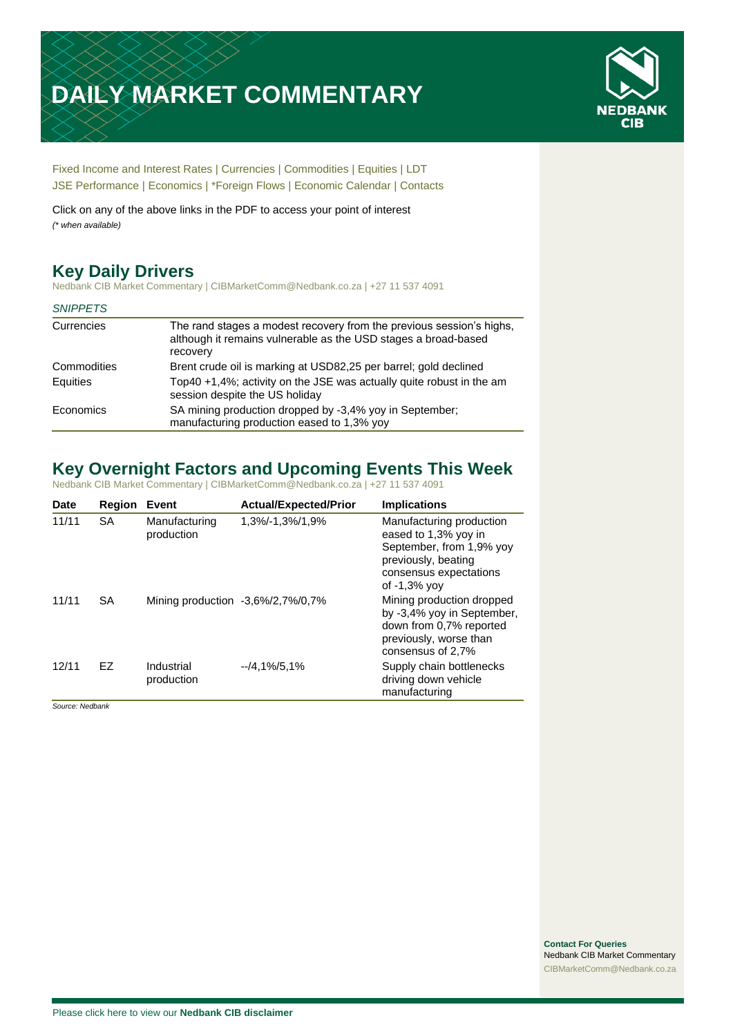# **DAILY MARKET COMMENTARY**



[Fixed Income and Interest Rates](#page-1-0) | [Currencies](#page-2-0) | [Commodities](#page-3-0) [| Equities](#page-4-0) | [LDT](#page-5-0) [JSE Performance](#page-6-0) | [Economics](#page-7-0) | [\\*Foreign Flows](#page-8-0) | [Economic Calendar](#page-8-0) | [Contacts](#page-9-0)

Click on any of the above links in the PDF to access your point of interest *(\* when available)*

# **Key Daily Drivers**

Nedbank CIB Market Commentary | CIBMarketComm@Nedbank.co.za | +27 11 537 4091

| <b>SNIPPETS</b> |                                                                                                                                                    |
|-----------------|----------------------------------------------------------------------------------------------------------------------------------------------------|
| Currencies      | The rand stages a modest recovery from the previous session's highs,<br>although it remains vulnerable as the USD stages a broad-based<br>recovery |
| Commodities     | Brent crude oil is marking at USD82,25 per barrel; gold declined                                                                                   |
| Equities        | Top40 +1,4%; activity on the JSE was actually quite robust in the am<br>session despite the US holiday                                             |
| Economics       | SA mining production dropped by -3,4% yoy in September;<br>manufacturing production eased to 1,3% yoy                                              |

# **Key Overnight Factors and Upcoming Events This Week**

Nedbank CIB Market Commentary | CIBMarketComm@Nedbank.co.za | +27 11 537 4091

| <b>Date</b> | Region    | Event                       | <b>Actual/Expected/Prior</b>           | <b>Implications</b>                                                                                                                              |
|-------------|-----------|-----------------------------|----------------------------------------|--------------------------------------------------------------------------------------------------------------------------------------------------|
| 11/11       | <b>SA</b> | Manufacturing<br>production | 1,3%/-1,3%/1,9%                        | Manufacturing production<br>eased to 1,3% yoy in<br>September, from 1,9% yoy<br>previously, beating<br>consensus expectations<br>of $-1.3\%$ yov |
| 11/11       | <b>SA</b> |                             | Mining production $-3.6\%/2.7\%/0.7\%$ | Mining production dropped<br>by -3,4% yoy in September,<br>down from 0.7% reported<br>previously, worse than<br>consensus of 2,7%                |
| 12/11       | EZ        | Industrial<br>production    | $-4.1\%/5.1\%$                         | Supply chain bottlenecks<br>driving down vehicle<br>manufacturing                                                                                |

*Source: Nedbank*

**Contact For Queries** Nedbank CIB Market Commentary [CIBMarketComm@Nedbank.co.za](file:///C:/Users/Paul-Rose/AppData/Roaming/Bluecurve/templates/CIBMarketComm@Nedbank.co.za)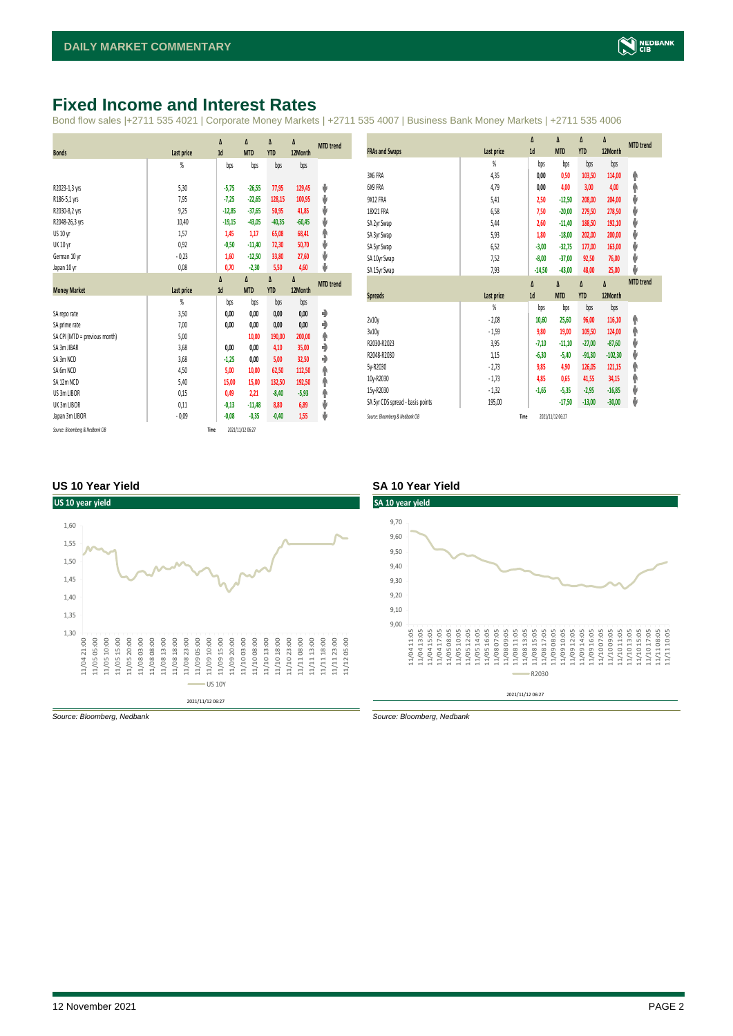# <span id="page-1-0"></span>**Fixed Income and Interest Rates**

Bond flow sales |+2711 535 4021 | Corporate Money Markets | +2711 535 4007 | Business Bank Money Markets | +2711 535 4006

|                               |            | Δ        | Δ          | Δ          | Δ        | <b>MTD</b> trend |
|-------------------------------|------------|----------|------------|------------|----------|------------------|
| <b>Bonds</b>                  | Last price | 1d       | <b>MTD</b> | <b>YTD</b> | 12Month  |                  |
|                               | %          | bps      | bps        | bps        | bps      |                  |
|                               |            |          |            |            |          |                  |
| R2023-1,3 yrs                 | 5,30       | $-5,75$  | $-26,55$   | 77,95      | 129,45   | ψ                |
| R186-5,1 yrs                  | 7,95       | $-7,25$  | $-22,65$   | 128,15     | 100,95   | ψ                |
| R2030-8,2 yrs                 | 9,25       | $-12,85$ | $-37,65$   | 50,95      | 41,85    | ψ                |
| R2048-26,3 yrs                | 10,40      | $-19,15$ | $-43,05$   | $-40,35$   | $-60,45$ | ψ                |
| US 10 yr                      | 1,57       | 1,45     | 1,17       | 65,08      | 68,41    | φ                |
| <b>UK 10 yr</b>               | 0,92       | $-0,50$  | $-11,40$   | 72,30      | 50,70    | ψ                |
| German 10 yr                  | $-0,23$    | 1,60     | $-12,50$   | 33,80      | 27,60    | ψ                |
| Japan 10 yr                   | 0,08       | 0,70     | $-2,30$    | 5,50       | 4,60     | ψ                |
|                               |            | Δ        | $\Delta$   | Δ          | Δ        | <b>MTD</b> trend |
| <b>Money Market</b>           | Last price | 1d       | <b>MTD</b> | <b>YTD</b> | 12Month  |                  |
|                               | %          | bps      | bps        | bps        | bps      |                  |
| SA reporate                   | 3,50       | 0,00     | 0,00       | 0,00       | 0,00     | ۰                |
| SA prime rate                 | 7,00       | 0,00     | 0,00       | 0,00       | 0,00     | ٠                |
| SA CPI (MTD = previous month) | 5,00       |          | 10,00      | 190,00     | 200,00   | ۸                |
| SA 3m JIBAR                   | 3,68       | 0,00     | 0,00       | 4,10       | 35,00    | ٠                |
| SA 3m NCD                     | 3,68       | $-1,25$  | 0,00       | 5,00       | 32,50    | ٠                |
| SA 6m NCD                     | 4,50       | 5,00     | 10,00      | 62,50      | 112,50   | ۸                |
| SA 12m NCD                    | 5,40       | 15,00    | 15,00      | 132,50     | 192,50   | ۸                |
| US 3m LIBOR                   | 0,15       | 0,49     | 2,21       | $-8,40$    | $-5,93$  | ۸                |
| UK 3m LIBOR                   | 0,11       | $-0,13$  | $-11,48$   | 8,80       | 6,89     | ψ                |
| Japan 3m LIBOR                | $-0.09$    | $-0.08$  | $-0,35$    | $-0,40$    | 1,55     | ψ                |
|                               |            |          |            |            |          |                  |

|                                  |                | Δ        | Δ          | Δ          | Δ         | <b>MTD</b> trend |
|----------------------------------|----------------|----------|------------|------------|-----------|------------------|
| <b>FRAs and Swaps</b>            | Last price     | 1d       | <b>MTD</b> | <b>YTD</b> | 12Month   |                  |
|                                  | $\frac{9}{20}$ | bps      | bps        | bps        | bps       |                  |
| 3X6 FRA                          | 4,35           | 0,00     | 0,50       | 103,50     | 114,00    | ۸                |
| 6X9 FRA                          | 4,79           | 0,00     | 4,00       | 3,00       | 4,00      | φ                |
| 9X12 FRA                         | 5,41           | 2,50     | $-12,50$   | 208,00     | 204,00    | V                |
| 18X21 FRA                        | 6,58           | 7,50     | $-20,00$   | 279,50     | 278,50    | V                |
| SA 2yr Swap                      | 5,44           | 2,60     | $-11,40$   | 188,50     | 192,10    | J                |
| SA 3yr Swap                      | 5,93           | 1,80     | $-18,00$   | 202,00     | 200,00    | V                |
| SA 5yr Swap                      | 6,52           | $-3,00$  | $-32,75$   | 177,00     | 163,00    | J                |
| SA 10yr Swap                     | 7,52           | $-8,00$  | $-37,00$   | 92,50      | 76,00     | V                |
| SA 15yr Swap                     | 7,93           | $-14,50$ | $-43,00$   | 48,00      | 25,00     | J                |
|                                  |                |          |            |            |           | <b>MTD</b> trend |
|                                  |                | Δ        | Δ          | Δ          | Δ         |                  |
| <b>Spreads</b>                   | Last price     | 1d       | <b>MTD</b> | <b>YTD</b> | 12Month   |                  |
|                                  | $\frac{9}{20}$ | bps      | bps        | bps        | bps       |                  |
| 2v10v                            | $-2,08$        | 10,60    | 25,60      | 96,00      | 116,10    | ۸                |
| 3v10y                            | $-1,59$        | 9,80     | 19,00      | 109,50     | 124,00    | φ                |
| R2030-R2023                      | 3,95           | $-7,10$  | $-11,10$   | $-27,00$   | $-87,60$  | V                |
| R2048-R2030                      | 1,15           | $-6,30$  | $-5,40$    | $-91,30$   | $-102,30$ | J                |
| 5v-R2030                         | $-2,73$        | 9,85     | 4,90       | 126,05     | 121,15    | φ                |
| 10y-R2030                        | $-1,73$        | 4,85     | 0,65       | 41,55      | 34,15     | φ                |
| 15y-R2030                        | $-1,32$        | $-1,65$  | $-5,35$    | $-2,95$    | $-16,85$  | V                |
| SA 5yr CDS spread - basis points | 195,00         |          | $-17,50$   | $-13,00$   | $-30,00$  | ⊎                |

#### **US 10 Year Yield SA 10 Year Yield**





*Source: Bloomberg, Nedbank Source: Bloomberg, Nedbank*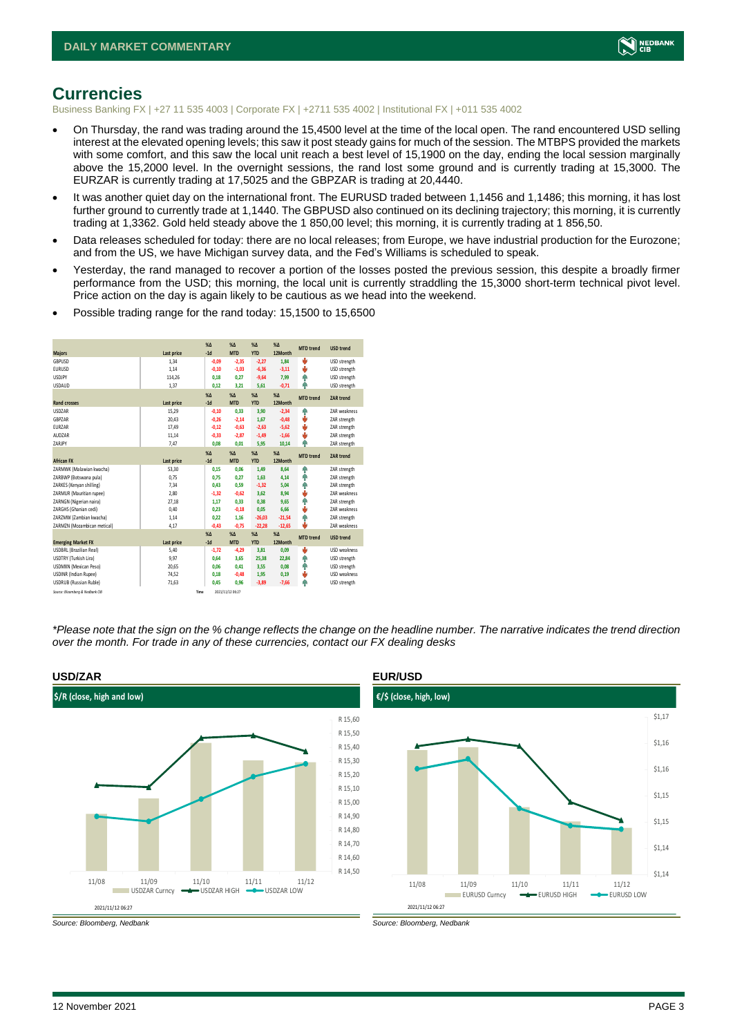

## <span id="page-2-0"></span>**Currencies**

Business Banking FX | +27 11 535 4003 | Corporate FX | +2711 535 4002 | Institutional FX | +011 535 4002

- On Thursday, the rand was trading around the 15,4500 level at the time of the local open. The rand encountered USD selling interest at the elevated opening levels; this saw it post steady gains for much of the session. The MTBPS provided the markets with some comfort, and this saw the local unit reach a best level of 15,1900 on the day, ending the local session marginally above the 15,2000 level. In the overnight sessions, the rand lost some ground and is currently trading at 15,3000. The EURZAR is currently trading at 17,5025 and the GBPZAR is trading at 20,4440.
- It was another quiet day on the international front. The EURUSD traded between 1,1456 and 1,1486; this morning, it has lost further ground to currently trade at 1,1440. The GBPUSD also continued on its declining trajectory; this morning, it is currently trading at 1,3362. Gold held steady above the 1 850,00 level; this morning, it is currently trading at 1 856,50.
- Data releases scheduled for today: there are no local releases; from Europe, we have industrial production for the Eurozone; and from the US, we have Michigan survey data, and the Fed's Williams is scheduled to speak.
- Yesterday, the rand managed to recover a portion of the losses posted the previous session, this despite a broadly firmer performance from the USD; this morning, the local unit is currently straddling the 15,3000 short-term technical pivot level. Price action on the day is again likely to be cautious as we head into the weekend.
- Possible trading range for the rand today: 15,1500 to 15,6500

| <b>Majors</b>                   | Last price | X <sub>A</sub><br>$-1d$ | X <sub>A</sub><br><b>MTD</b> | $\%$ $\Lambda$<br><b>YTD</b> | %<br>12Month | <b>MTD</b> trend | <b>USD trend</b>    |
|---------------------------------|------------|-------------------------|------------------------------|------------------------------|--------------|------------------|---------------------|
| GBPUSD                          | 1.34       | $-0.09$                 | $-2,35$                      | $-2,27$                      | 1,84         | v                | USD strength        |
| <b>EURUSD</b>                   | 1,14       | $-0.10$                 | $-1,03$                      | $-6,36$                      | $-3,11$      | ٥                | USD strength        |
| <b>USDJPY</b>                   | 114,26     | 0.18                    | 0.27                         | $-9.64$                      | 7,99         | e                | USD strength        |
| <b>USDAUD</b>                   | 1,37       | 0,12                    | 3,21                         | 5,61                         | $-0,71$      | ۸                | USD strength        |
|                                 |            | X <sub>A</sub>          | X <sub>A</sub>               | $% \Delta$                   | $%$ $\Delta$ | <b>MTD</b> trend | <b>ZAR trend</b>    |
| <b>Rand crosses</b>             | Last price | $-1d$                   | <b>MTD</b>                   | <b>YTD</b>                   | 12Month      |                  |                     |
| <b>USDZAR</b>                   | 15.29      | $-0.10$                 | 0.33                         | 3,90                         | $-2.34$      | ٠                | <b>7AR</b> weakness |
| GBPZAR                          | 20,43      | $-0.26$                 | $-2,14$                      | 1,67                         | $-0,48$      | ÷                | ZAR strength        |
| EURZAR                          | 17.49      | $-0.12$                 | $-0.63$                      | $-2.63$                      | $-5,62$      | ě                | ZAR strength        |
| AUDZAR                          | 11,14      | $-0,33$                 | $-2,87$                      | $-1,49$                      | $-1,66$      | ÷                | ZAR strength        |
| ZARJPY                          | 7,47       | 0,08                    | 0,01                         | 5,95                         | 10,14        | ۸                | ZAR strength        |
|                                 |            | X <sub>A</sub>          | X <sub>A</sub>               | $% \Lambda$                  | %            | <b>MTD</b> trend | <b>ZAR trend</b>    |
| <b>African FX</b>               | Last price | $-1d$                   | <b>MTD</b>                   | <b>YTD</b>                   | 12Month      |                  |                     |
| ZARMWK (Malawian kwacha)        | 53,30      | 0.15                    | 0.06                         | 1.49                         | 8.64         | Φ                | ZAR strength        |
| ZARBWP (Botswana pula)          | 0,75       | 0,75                    | 0,27                         | 1,63                         | 4,14         | ٠                | ZAR strength        |
| ZARKES (Kenyan shilling)        | 7,34       | 0,43                    | 0,59                         | $-1,32$                      | 5,04         | ٠                | ZAR strength        |
| ZARMUR (Mauritian rupee)        | 2,80       | $-1,32$                 | $-0,62$                      | 3,62                         | 8,94         | ÷                | ZAR weakness        |
| ZARNGN (Nigerian naira)         | 27,18      | 1,17                    | 0,33                         | 0,38                         | 9,65         | Φ                | ZAR strength        |
| ZARGHS (Ghanian cedi)           | 0,40       | 0.23                    | $-0,18$                      | 0,05                         | 6,66         | ÷                | <b>7AR</b> weakness |
| ZARZMW (Zambian kwacha)         | 1,14       | 0.22                    | 1.16                         | $-26,03$                     | $-21,54$     | e                | ZAR strength        |
| ZARMZN (Mozambican metical)     | 4,17       | $-0,43$                 | $-0,75$                      | $-22,28$                     | $-12,65$     | ٤                | ZAR weakness        |
|                                 |            | $X\Delta$               | X <sub>A</sub>               | $% \Delta$                   | $% \Delta$   | <b>MTD</b> trend | <b>USD trend</b>    |
| <b>Emerging Market FX</b>       | Last price | $-1d$                   | <b>MTD</b>                   | <b>YTD</b>                   | 12Month      |                  |                     |
| <b>USDBRL (Brazilian Real)</b>  | 5,40       | $-1.72$                 | $-4,29$                      | 3,81                         | 0,09         | s                | <b>USD</b> weakness |
| USDTRY (Turkish Lira)           | 9,97       | 0.64                    | 3.65                         | 25,38                        | 22,84        | ۸                | USD strength        |
| USDMXN (Mexican Peso)           | 20,65      | 0.06                    | 0.41                         | 3,55                         | 0,08         | ۸                | USD strength        |
| <b>USDINR (Indian Rupee)</b>    | 74,52      | 0.18                    | $-0.48$                      | 1,95                         | 0,19         | s                | USD weakness        |
| <b>USDRUB</b> (Russian Ruble)   | 71,63      | 0,45                    | 0,96                         | $-3,89$                      | $-7,66$      | ٨                | USD strength        |
| Source: Bloomberg & Nedbank CIB | Time       |                         | 2021/11/12 06:27             |                              |              |                  |                     |

*\*Please note that the sign on the % change reflects the change on the headline number. The narrative indicates the trend direction over the month. For trade in any of these currencies, contact our FX dealing desks*



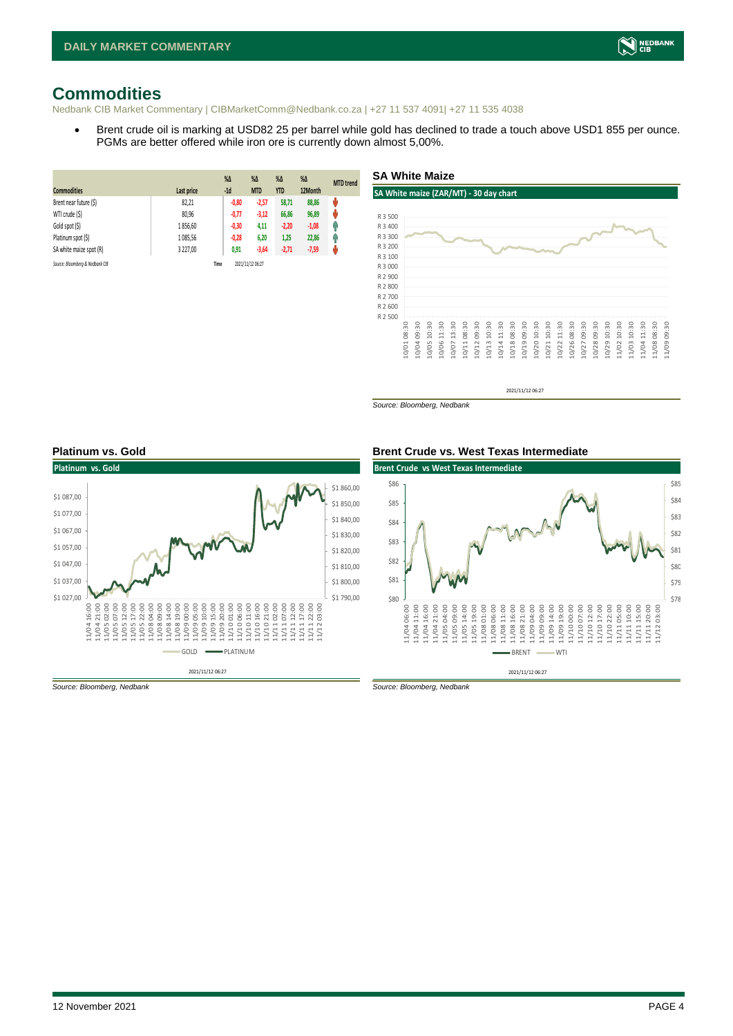# <span id="page-3-0"></span>**Commodities**

Nedbank CIB Market Commentary | CIBMarketComm@Nedbank.co.za | +27 11 537 4091| +27 11 535 4038

• Brent crude oil is marking at USD82 25 per barrel while gold has declined to trade a touch above USD1 855 per ounce. PGMs are better offered while iron ore is currently down almost 5,00%.

| <b>Commodities</b>              | Last price | $%$ $\Delta$<br>$-1d$ | $\%$ $\Delta$<br><b>MTD</b> | $% \Delta$<br><b>YTD</b> | $\%$ $\Delta$<br>12Month | <b>MTD</b> trend |
|---------------------------------|------------|-----------------------|-----------------------------|--------------------------|--------------------------|------------------|
| Brent near future (\$)          | 82,21      | $-0,80$               | $-2,57$                     | 58,71                    | 88,86                    | U                |
| WTI crude (\$)                  | 80,96      | $-0,77$               | $-3,12$                     | 66,86                    | 96,89                    | ŵ                |
| Gold spot (\$)                  | 1856,60    | $-0,30$               | 4,11                        | $-2,20$                  | $-1,08$                  | Ŵ                |
| Platinum spot (\$)              | 1085,56    | $-0,28$               | 6,20                        | 1,25                     | 22,86                    | Ĥ                |
| SA white maize spot (R)         | 3 227,00   | 0,91                  | $-3,64$                     | $-2,71$                  | $-7,59$                  | ψ                |
| Source: Bloomberg & Nedbank CIB |            | Time                  | 2021/11/12 06:27            |                          |                          |                  |

#### **SA White Maize**

#### **SA White maize (ZAR/MT) - 30 day chart**



2021/11/12 06:27

*Source: Bloomberg, Nedbank*





*Source: Bloomberg, Nedbank Source: Bloomberg, Nedbank*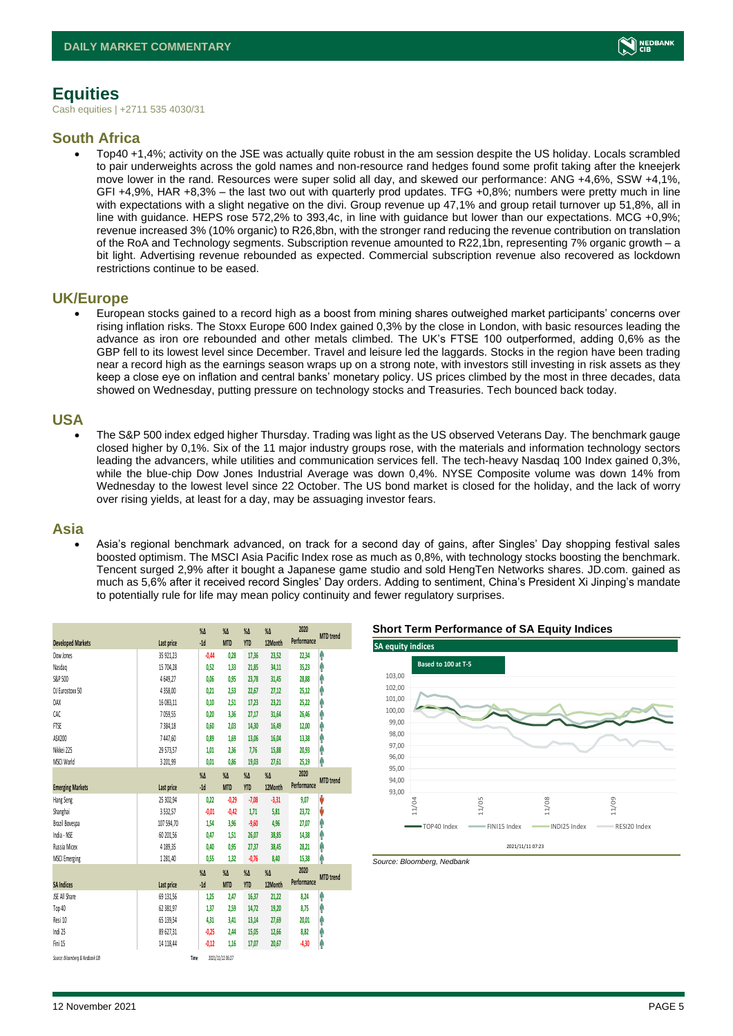

# <span id="page-4-0"></span>**Equities**

Cash equities | +2711 535 4030/31

### **South Africa**

• Top40 +1,4%; activity on the JSE was actually quite robust in the am session despite the US holiday. Locals scrambled to pair underweights across the gold names and non-resource rand hedges found some profit taking after the kneejerk move lower in the rand. Resources were super solid all day, and skewed our performance: ANG +4,6%, SSW +4,1%, GFI +4,9%, HAR +8,3% – the last two out with quarterly prod updates. TFG +0,8%; numbers were pretty much in line with expectations with a slight negative on the divi. Group revenue up 47,1% and group retail turnover up 51,8%, all in line with guidance. HEPS rose 572,2% to 393,4c, in line with guidance but lower than our expectations. MCG +0,9%; revenue increased 3% (10% organic) to R26,8bn, with the stronger rand reducing the revenue contribution on translation of the RoA and Technology segments. Subscription revenue amounted to R22,1bn, representing 7% organic growth – a bit light. Advertising revenue rebounded as expected. Commercial subscription revenue also recovered as lockdown restrictions continue to be eased.

#### **UK/Europe**

• European stocks gained to a record high as a boost from mining shares outweighed market participants' concerns over rising inflation risks. The Stoxx Europe 600 Index gained 0,3% by the close in London, with basic resources leading the advance as iron ore rebounded and other metals climbed. The UK's FTSE 100 outperformed, adding 0,6% as the GBP fell to its lowest level since December. Travel and leisure led the laggards. Stocks in the region have been trading near a record high as the earnings season wraps up on a strong note, with investors still investing in risk assets as they keep a close eye on inflation and central banks' monetary policy. US prices climbed by the most in three decades, data showed on Wednesday, putting pressure on technology stocks and Treasuries. Tech bounced back today.

### **USA**

• The S&P 500 index edged higher Thursday. Trading was light as the US observed Veterans Day. The benchmark gauge closed higher by 0,1%. Six of the 11 major industry groups rose, with the materials and information technology sectors leading the advancers, while utilities and communication services fell. The tech-heavy Nasdaq 100 Index gained 0,3%, while the blue-chip Dow Jones Industrial Average was down 0,4%. NYSE Composite volume was down 14% from Wednesday to the lowest level since 22 October. The US bond market is closed for the holiday, and the lack of worry over rising yields, at least for a day, may be assuaging investor fears.

### **Asia**

• Asia's regional benchmark advanced, on track for a second day of gains, after Singles' Day shopping festival sales boosted optimism. The MSCI Asia Pacific Index rose as much as 0,8%, with technology stocks boosting the benchmark. Tencent surged 2,9% after it bought a Japanese game studio and sold HengTen Networks shares. JD.com. gained as much as 5,6% after it received record Singles' Day orders. Adding to sentiment, China's President Xi Jinping's mandate to potentially rule for life may mean policy continuity and fewer regulatory surprises.

|                                 |            | $\%$ $\Delta$ | $\%$ $\Delta$      | $\%$ $\Delta$ | $\%$ $\Delta$ | 2020        | <b>MTD</b> trend |
|---------------------------------|------------|---------------|--------------------|---------------|---------------|-------------|------------------|
| <b>Developed Markets</b>        | Last price | $-1d$         | <b>MTD</b>         | <b>YTD</b>    | 12Month       | Performance |                  |
| Dow Jones                       | 35 921,23  | $-0.44$       | 0,28               | 17,36         | 23,52         | 22,34       | φ                |
| Nasdao                          | 15 704,28  | 0.52          | 1.33               | 21,85         | 34,11         | 35,23       | Λ                |
| S&P 500                         | 4649,27    | 0,06          | 0,95               | 23,78         | 31,45         | 28,88       | ٨                |
| DJ Eurostoxx 50                 | 4358,00    | 0,21          | 2,53               | 22,67         | 27,12         | 25,12       | Α                |
| DAX                             | 16 083,11  | 0.10          | 2.51               | 17,23         | 23,21         | 25,22       | Λ                |
| CAC                             | 7059,55    | 0,20          | 3,36               | 27,17         | 31,64         | 26,46       | ٨                |
| <b>FTSE</b>                     | 7384,18    | 0,60          | 2,03               | 14,30         | 16,49         | 12,00       | Λ                |
| ASX200                          | 7447,60    | 0.89          | 1.69               | 13,06         | 16,04         | 13,38       | Λ                |
| Nikkei 225                      | 29 573,57  | 1,01          | 2,36               | 7,76          | 15,88         | 20,93       | ٨                |
| MSCI World                      | 3 201,99   | 0,01          | 0,86               | 19,03         | 27,61         | 25,19       | Λ                |
|                                 |            | $\%$ $\Delta$ | $\%$ $\Delta$      | $\%$ $\Delta$ | $\%$ $\Delta$ | 2020        | <b>MTD</b> trend |
| <b>Emerging Markets</b>         | Last price | $-1d$         | <b>MTD</b>         | <b>YTD</b>    | 12Month       | Performance |                  |
| Hang Seng                       | 25 302,94  | 0,22          | $-0.29$            | $-7,08$       | $-3,31$       | 9,07        | V                |
| Shanghai                        | 3532,57    | $-0.01$       | $-0,42$            | 1,71          | 5,81          | 23,72       | V                |
| Brazil Bovespa                  | 107 594,70 | 1,54          | 3,96               | $-9,60$       | 4,96          | 27,07       | Ĥ                |
| India - NSE                     | 60 201,56  | 0.47          | 1.51               | 26,07         | 38,85         | 14,38       | Ą                |
| Russia Micex                    | 4 189,35   | 0.40          | 0.95               | 27,37         | 38,45         | 28,21       | Λ                |
| <b>MSCI Emerging</b>            | 1281,40    | 0,55          | 1,32               | $-0,76$       | 8,40          | 15,38       | ٨                |
|                                 |            | $\%$ $\Delta$ | $\%$ $\Delta$      | $\%$ $\Delta$ | $\%$ $\Delta$ | 2020        |                  |
| <b>SA Indices</b>               | Last price | $-1d$         | <b>MTD</b>         | <b>YTD</b>    | 12Month       | Performance | <b>MTD</b> trend |
| <b>JSE All Share</b>            | 69 131,56  | 1,25          | 2,47               | 16,37         | 21,22         | 8,24        | ٨                |
| Top 40                          | 62 381,97  | 137           | 2,59               | 14,72         | 19,20         | 8,75        | Ą                |
| Resi 10                         | 65 139,54  | 4,31          | 3,41               | 13,14         | 27,69         | 20,01       | Λ                |
| Indi 25                         | 89 627,31  | $-0,25$       | 2,44               | 15,05         | 12,66         | 8,82        | Ĥ                |
| Fini 15                         | 14 118.44  | $-0,12$       | 1.16               | 17,07         | 20,67         | $-4,30$     | Λ                |
| $A = -0.1$ $A = 0.1$ $A = 1.00$ | . .        |               | anno los lon pelas |               |               |             |                  |

2021/11/12 06:27

#### **Short Term Performance of SA Equity Indices**



*Source: Bloomberg, Nedbank*

*Source: Bloomberg & Nedbank CIB* **Time**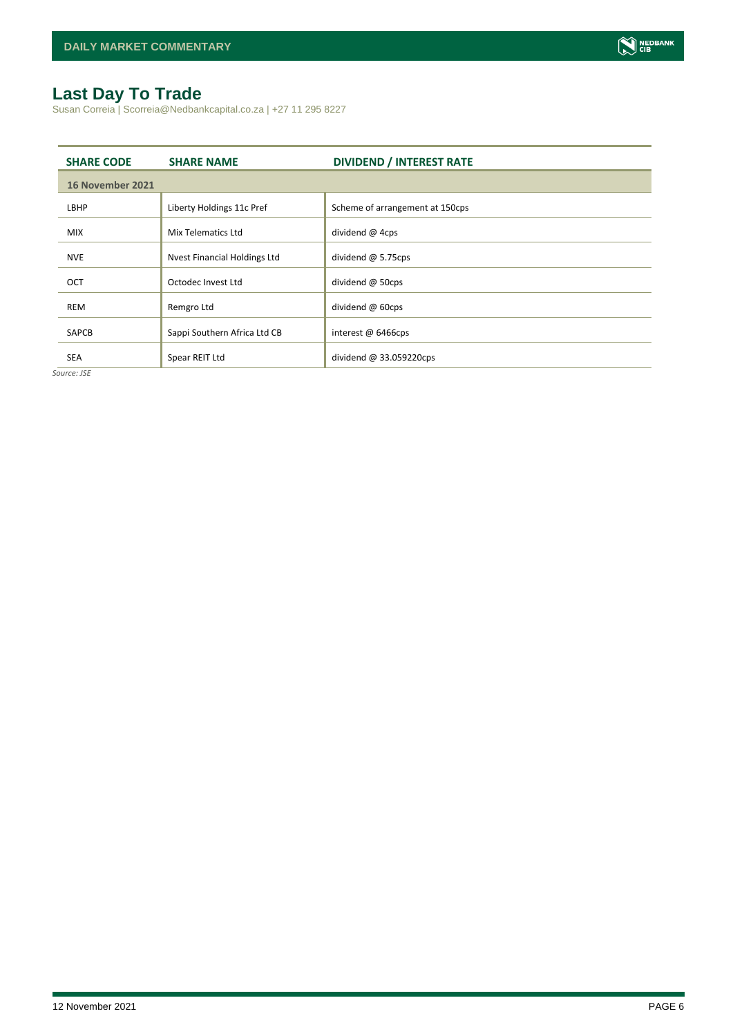# <span id="page-5-0"></span>**Last Day To Trade**

Susan Correia | Scorreia@Nedbankcapital.co.za | +27 11 295 8227

| <b>SHARE CODE</b> | <b>SHARE NAME</b>            | <b>DIVIDEND / INTEREST RATE</b> |
|-------------------|------------------------------|---------------------------------|
| 16 November 2021  |                              |                                 |
| LBHP              | Liberty Holdings 11c Pref    | Scheme of arrangement at 150cps |
| <b>MIX</b>        | Mix Telematics Ltd           | dividend @ 4cps                 |
| <b>NVE</b>        | Nyest Financial Holdings Ltd | dividend $@$ 5.75cps            |
| OCT               | Octodec Invest Ltd           | dividend @ 50cps                |
| <b>REM</b>        | Remgro Ltd                   | dividend @ 60cps                |
| <b>SAPCB</b>      | Sappi Southern Africa Ltd CB | interest @ 6466cps              |
| <b>SEA</b>        | Spear REIT Ltd               | dividend $@33.059220$ cps       |

*Source: JSE*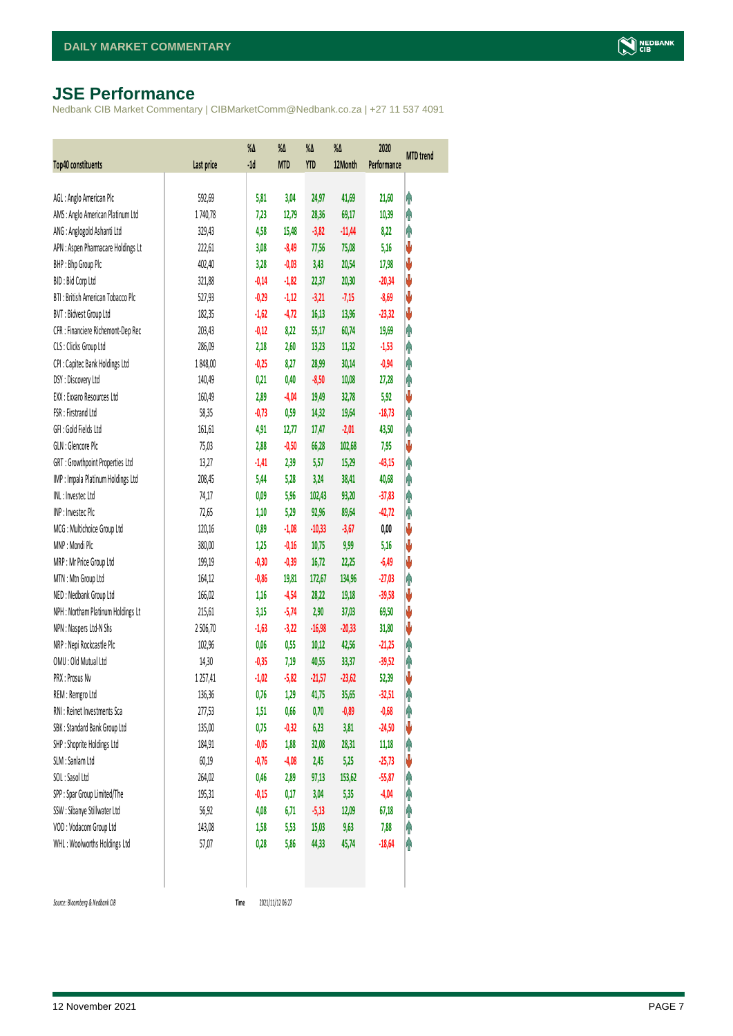# <span id="page-6-0"></span>**JSE Performance**

Nedbank CIB Market Commentary | CIBMarketComm@Nedbank.co.za | +27 11 537 4091

| <b>Top40 constituents</b>          | Last price | $\%$<br>$-1d$ | $\%$ $\Delta$<br><b>MTD</b> | %Δ<br>YTD | %Δ<br>12Month | 2020<br>Performance | <b>MTD</b> trend |
|------------------------------------|------------|---------------|-----------------------------|-----------|---------------|---------------------|------------------|
|                                    |            |               |                             |           |               |                     |                  |
| AGL: Anglo American Plc            | 592,69     | 5,81          | 3,04                        | 24,97     | 41,69         | 21,60               | Ĥ                |
| AMS: Anglo American Platinum Ltd   | 1740,78    | 7,23          | 12,79                       | 28,36     | 69,17         | 10,39               | φ                |
| ANG: Anglogold Ashanti Ltd         | 329,43     | 4,58          | 15,48                       | $-3,82$   | $-11,44$      | 8,22                | φ                |
| APN : Aspen Pharmacare Holdings Lt | 222,61     | 3,08          | $-8,49$                     | 77,56     | 75,08         | 5,16                | V                |
| BHP: Bhp Group Plc                 | 402,40     | 3,28          | $-0,03$                     | 3,43      | 20,54         | 17,98               | ♦                |
| BID: Bid Corp Ltd                  | 321,88     | $-0,14$       | $-1,82$                     | 22,37     | 20,30         | $-20,34$            | ♦                |
| BTI: British American Tobacco Plc  | 527,93     | $-0,29$       | $-1,12$                     | $-3,21$   | $-7,15$       | $-8,69$             | ♦                |
| BVT: Bidvest Group Ltd             | 182,35     | $-1,62$       | $-4,72$                     | 16,13     | 13,96         | $-23,32$            | ♦                |
| CFR : Financiere Richemont-Dep Rec | 203,43     | $-0,12$       | 8,22                        | 55,17     | 60,74         | 19,69               | φ                |
| CLS : Clicks Group Ltd             | 286,09     | 2,18          | 2,60                        | 13,23     | 11,32         | $-1,53$             | φ                |
| CPI : Capitec Bank Holdings Ltd    | 1848,00    | $-0,25$       | 8,27                        | 28,99     | 30,14         | $-0,94$             | φ                |
| DSY: Discovery Ltd                 | 140,49     | 0,21          | 0,40                        | $-8,50$   | 10,08         | 27,28               | φ                |
| EXX : Exxaro Resources Ltd         | 160,49     | 2,89          | $-4,04$                     | 19,49     | 32,78         | 5,92                | ♦                |
| FSR: Firstrand Ltd                 | 58,35      | -0,73         | 0,59                        | 14,32     | 19,64         | $-18,73$            | φ                |
| GFI: Gold Fields Ltd               | 161,61     | 4,91          | 12,77                       | 17,47     | $-2,01$       | 43,50               | φ                |
| GLN : Glencore Plc                 | 75,03      | 2,88          | $-0,50$                     | 66,28     | 102,68        | 7,95                | ♦                |
| GRT : Growthpoint Properties Ltd   | 13,27      | $-1,41$       | 2,39                        | 5,57      | 15,29         | $-43,15$            | φ                |
| IMP : Impala Platinum Holdings Ltd | 208,45     | 5,44          | 5,28                        | 3,24      | 38,41         | 40,68               | φ                |
| INL: Investec Ltd                  | 74,17      | 0,09          | 5,96                        | 102,43    | 93,20         | $-37,83$            | φ                |
| INP: Invested Plc                  | 72,65      | 1,10          | 5,29                        | 92,96     | 89,64         | $-42,72$            | Ą                |
| MCG: Multichoice Group Ltd         | 120,16     | 0,89          | $-1,08$                     | $-10,33$  | $-3,67$       | 0,00                | ♦                |
| MNP: Mondi Plc                     | 380,00     | 1,25          | $-0,16$                     | 10,75     | 9,99          | 5,16                | ♦                |
| MRP : Mr Price Group Ltd           | 199,19     | $-0,30$       | $-0,39$                     | 16,72     | 22,25         | $-6,49$             | ♦                |
| MTN: Mtn Group Ltd                 | 164,12     | $-0,86$       | 19,81                       | 172,67    | 134,96        | $-27,03$            | φ                |
| NED: Nedbank Group Ltd             | 166,02     | 1,16          | $-4,54$                     | 28,22     | 19,18         | $-39,58$            | V                |
| NPH : Northam Platinum Holdings Lt | 215,61     | 3,15          | $-5,74$                     | 2,90      | 37,03         | 69,50               | V                |
| NPN : Naspers Ltd-N Shs            | 2506,70    | $-1,63$       | $-3,22$                     | $-16,98$  | $-20,33$      | 31,80               | V                |
| NRP : Nepi Rockcastle Plc          | 102,96     | 0,06          | 0,55                        | 10,12     | 42,56         | $-21,25$            | φ                |
| OMU: Old Mutual Ltd                | 14,30      | $-0,35$       | 7,19                        | 40,55     | 33,37         | $-39,52$            | φ                |
| PRX : Prosus Nv                    | 1257,41    | $-1,02$       | $-5,82$                     | $-21,57$  | $-23,62$      | 52,39               | V                |
| REM : Remgro Ltd                   | 136,36     | 0,76          | 1,29                        | 41,75     | 35,65         | $-32,51$            | φ                |
| RNI : Reinet Investments Sca       | 277,53     | 1,51          | 0,66                        | 0,70      | $-0,89$       | $-0,68$             | Ĥ                |
| SBK: Standard Bank Group Ltd       | 135,00     | 0,75          | $-0,32$                     | 6,23      | 3,81          | $-24,50$            | V                |
| SHP: Shoprite Holdings Ltd         | 184,91     | $-0,05$       | 1,88                        | 32,08     | 28,31         | 11,18               | φ                |
| SLM : Sanlam Ltd                   | 60, 19     | $-0,76$       | $-4,08$                     | 2,45      | 5,25          | $-25,73$            | V                |
| SOL: Sasol Ltd                     | 264,02     | 0,46          | 2,89                        | 97,13     | 153,62        | $-55,87$            | Ĥ                |
| SPP: Spar Group Limited/The        | 195,31     | $-0,15$       | 0,17                        | 3,04      | 5,35          | $-4,04$             | φ                |
| SSW : Sibanye Stillwater Ltd       | 56,92      | 4,08          | 6,71                        | $-5,13$   | 12,09         | 67,18               | φ                |
| VOD: Vodacom Group Ltd             | 143,08     | 1,58          | 5,53                        | 15,03     | 9,63          | 7,88                | φ                |
| WHL: Woolworths Holdings Ltd       | 57,07      | 0,28          | 5,86                        | 44,33     | 45,74         | $-18,64$            | φ                |
|                                    |            |               |                             |           |               |                     |                  |

 $Source: Bloomberg & Nedbank *CB*$ 

Time 2021/11/12 06:27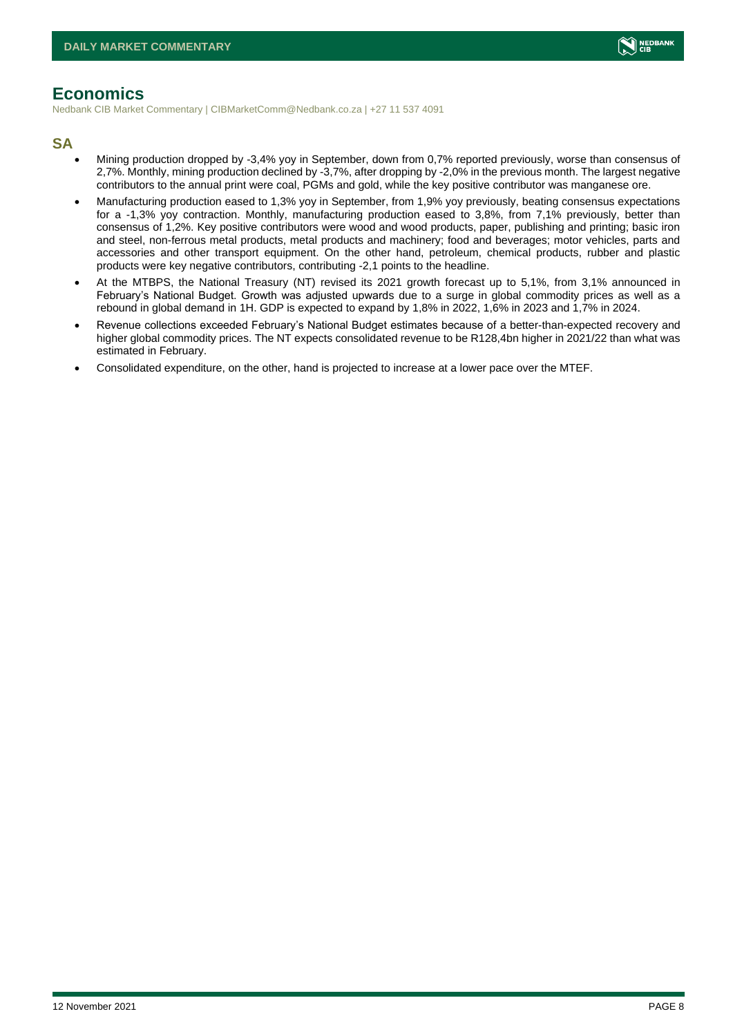

# <span id="page-7-0"></span>**Economics**

Nedbank CIB Market Commentary | CIBMarketComm@Nedbank.co.za | +27 11 537 4091

### **SA**

- Mining production dropped by -3,4% yoy in September, down from 0,7% reported previously, worse than consensus of 2,7%. Monthly, mining production declined by -3,7%, after dropping by -2,0% in the previous month. The largest negative contributors to the annual print were coal, PGMs and gold, while the key positive contributor was manganese ore.
- Manufacturing production eased to 1,3% yoy in September, from 1,9% yoy previously, beating consensus expectations for a -1,3% yoy contraction. Monthly, manufacturing production eased to 3,8%, from 7,1% previously, better than consensus of 1,2%. Key positive contributors were wood and wood products, paper, publishing and printing; basic iron and steel, non-ferrous metal products, metal products and machinery; food and beverages; motor vehicles, parts and accessories and other transport equipment. On the other hand, petroleum, chemical products, rubber and plastic products were key negative contributors, contributing -2,1 points to the headline.
- At the MTBPS, the National Treasury (NT) revised its 2021 growth forecast up to 5,1%, from 3,1% announced in February's National Budget. Growth was adjusted upwards due to a surge in global commodity prices as well as a rebound in global demand in 1H. GDP is expected to expand by 1,8% in 2022, 1,6% in 2023 and 1,7% in 2024.
- Revenue collections exceeded February's National Budget estimates because of a better-than-expected recovery and higher global commodity prices. The NT expects consolidated revenue to be R128,4bn higher in 2021/22 than what was estimated in February.
- Consolidated expenditure, on the other, hand is projected to increase at a lower pace over the MTEF.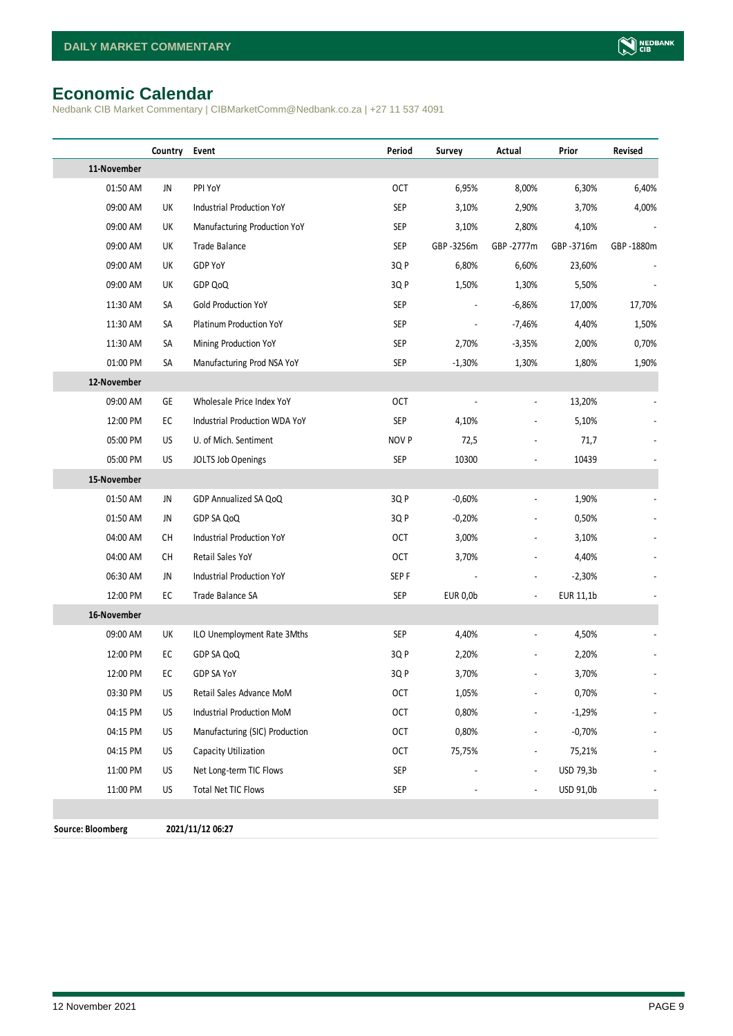# <span id="page-8-0"></span>**Economic Calendar**

Nedbank CIB Market Commentary | CIBMarketComm@Nedbank.co.za | +27 11 537 4091

|                          | Country | Event                          | Period           | Survey          | Actual                       | Prior     | Revised   |
|--------------------------|---------|--------------------------------|------------------|-----------------|------------------------------|-----------|-----------|
| 11-November              |         |                                |                  |                 |                              |           |           |
| 01:50 AM                 | JN      | PPI YoY                        | OCT              | 6,95%           | 8,00%                        | 6,30%     | 6,40%     |
| 09:00 AM                 | UK      | Industrial Production YoY      | <b>SEP</b>       | 3,10%           | 2,90%                        | 3,70%     | 4,00%     |
| 09:00 AM                 | UK      | Manufacturing Production YoY   | SEP              | 3,10%           | 2,80%                        | 4,10%     |           |
| 09:00 AM                 | UK      | Trade Balance                  | <b>SEP</b>       | GBP-3256m       | GBP-2777m                    | GBP-3716m | GBP-1880m |
| 09:00 AM                 | UK      | GDP YoY                        | 3QP              | 6,80%           | 6,60%                        | 23,60%    |           |
| 09:00 AM                 | UK      | GDP QoQ                        | 3Q P             | 1,50%           | 1,30%                        | 5,50%     |           |
| 11:30 AM                 | SA      | <b>Gold Production YoY</b>     | <b>SEP</b>       |                 | $-6,86%$                     | 17,00%    | 17,70%    |
| 11:30 AM                 | SA      | Platinum Production YoY        | <b>SEP</b>       |                 | $-7,46%$                     | 4,40%     | 1,50%     |
| 11:30 AM                 | SA      | Mining Production YoY          | SEP              | 2,70%           | $-3,35%$                     | 2,00%     | 0,70%     |
| 01:00 PM                 | SA      | Manufacturing Prod NSA YoY     | <b>SEP</b>       | $-1,30%$        | 1,30%                        | 1,80%     | 1,90%     |
| 12-November              |         |                                |                  |                 |                              |           |           |
| 09:00 AM                 | GE      | Wholesale Price Index YoY      | <b>OCT</b>       |                 |                              | 13,20%    |           |
| 12:00 PM                 | EC      | Industrial Production WDA YoY  | SEP              | 4,10%           | $\qquad \qquad \blacksquare$ | 5,10%     |           |
| 05:00 PM                 | US      | U. of Mich. Sentiment          | NOV P            | 72,5            |                              | 71,7      |           |
| 05:00 PM                 | US      | JOLTS Job Openings             | SEP              | 10300           |                              | 10439     |           |
| 15-November              |         |                                |                  |                 |                              |           |           |
| 01:50 AM                 | JN      | GDP Annualized SA QoQ          | 3Q P             | $-0,60%$        |                              | 1,90%     |           |
| 01:50 AM                 | JN      | GDP SA QoQ                     | 3Q P             | $-0,20%$        |                              | 0,50%     |           |
| 04:00 AM                 | CH      | Industrial Production YoY      | <b>OCT</b>       | 3,00%           | $\overline{a}$               | 3,10%     |           |
| 04:00 AM                 | CH      | Retail Sales YoY               | <b>OCT</b>       | 3,70%           |                              | 4,40%     |           |
| 06:30 AM                 | JN      | Industrial Production YoY      | SEP <sub>F</sub> |                 |                              | $-2,30%$  |           |
| 12:00 PM                 | EC      | Trade Balance SA               | <b>SEP</b>       | <b>EUR 0,0b</b> |                              | EUR 11,1b |           |
| 16-November              |         |                                |                  |                 |                              |           |           |
| 09:00 AM                 | UK      | ILO Unemployment Rate 3Mths    | <b>SEP</b>       | 4,40%           | $\overline{a}$               | 4,50%     |           |
| 12:00 PM                 | EC      | GDP SA QoQ                     | 3Q P             | 2,20%           |                              | 2,20%     |           |
| 12:00 PM                 | EC      | GDP SA YoY                     | 3Q P             | 3,70%           | $\overline{\phantom{a}}$     | 3,70%     |           |
| 03:30 PM                 | US      | Retail Sales Advance MoM       | OCT              | 1,05%           |                              | 0,70%     |           |
| 04:15 PM                 | US      | Industrial Production MoM      | <b>OCT</b>       | 0,80%           |                              | $-1,29%$  |           |
| 04:15 PM                 | US      | Manufacturing (SIC) Production | <b>OCT</b>       | 0,80%           |                              | $-0,70%$  |           |
| 04:15 PM                 | US      | Capacity Utilization           | <b>OCT</b>       | 75,75%          |                              | 75,21%    |           |
| 11:00 PM                 | US      | Net Long-term TIC Flows        | <b>SEP</b>       |                 |                              | USD 79,3b |           |
| 11:00 PM                 | US      | Total Net TIC Flows            | <b>SEP</b>       |                 |                              | USD 91,0b |           |
|                          |         |                                |                  |                 |                              |           |           |
| <b>Source: Bloomberg</b> |         | 2021/11/12 06:27               |                  |                 |                              |           |           |